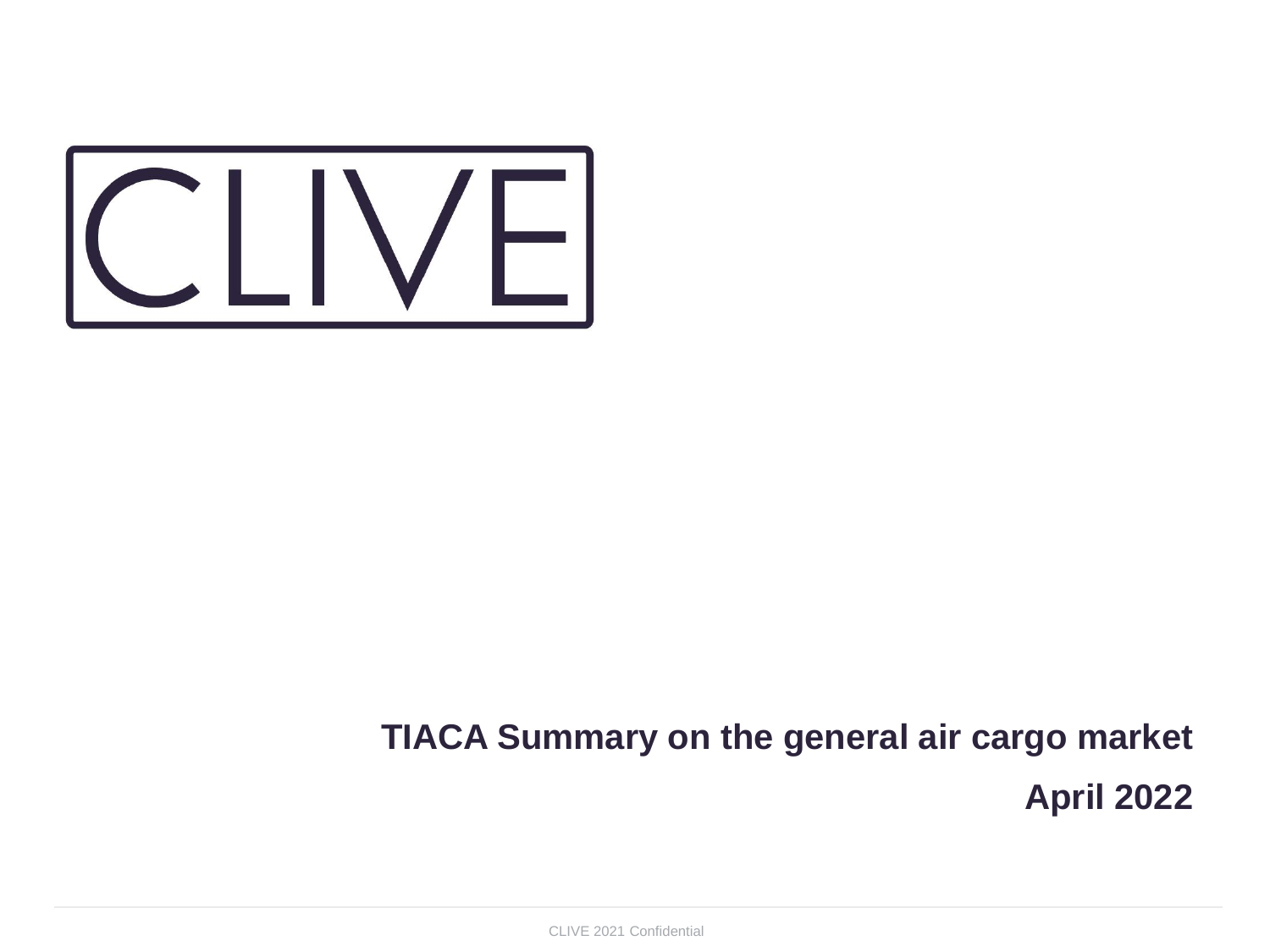

## **TIACA Summary on the general air cargo market April 2022**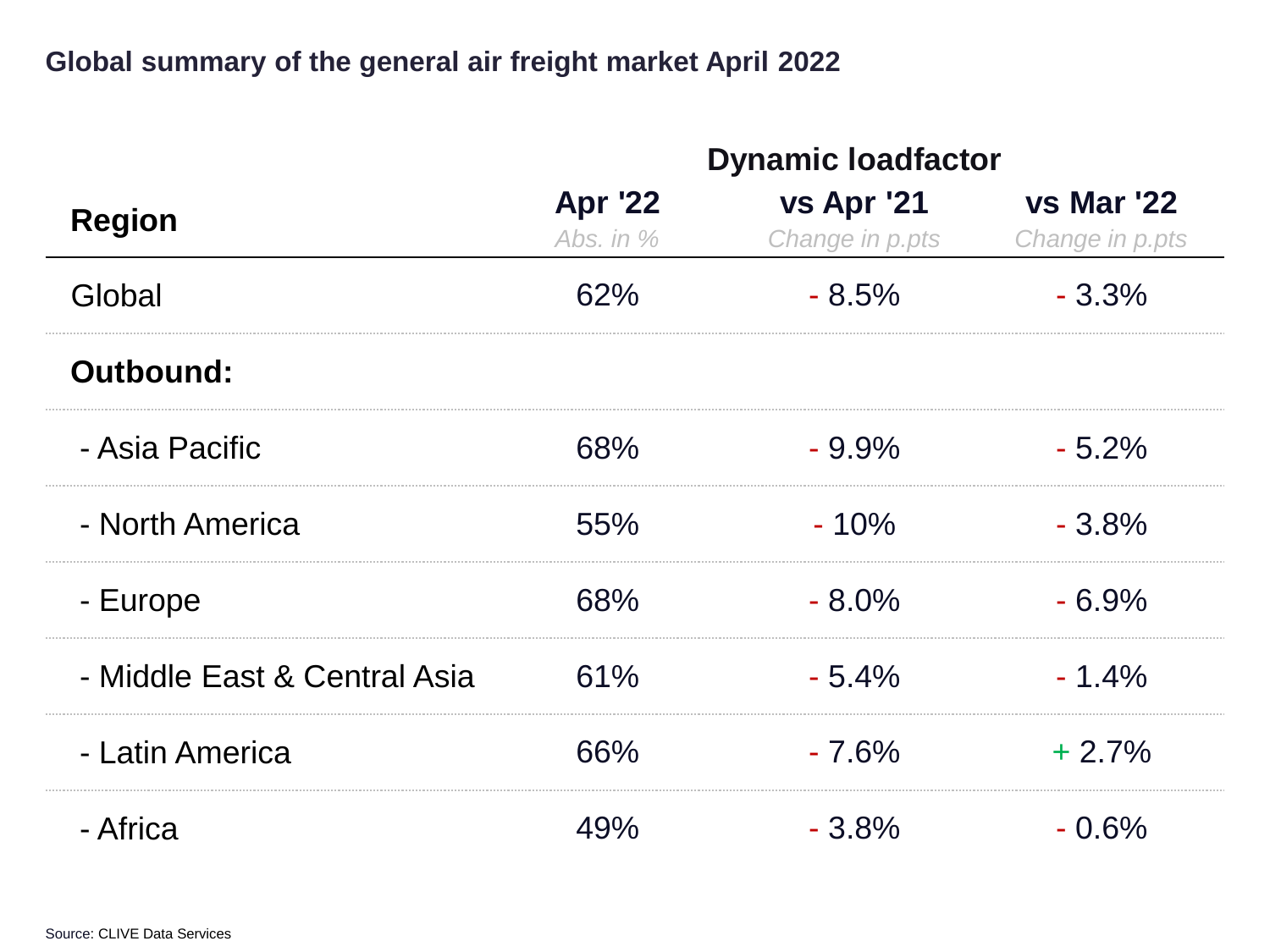## **Global summary of the general air freight market April 2022**

|                              | <b>Dynamic loadfactor</b>     |                               |                                      |
|------------------------------|-------------------------------|-------------------------------|--------------------------------------|
| <b>Region</b>                | <b>Apr '22</b><br>Abs. in $%$ | vs Apr '21<br>Change in p.pts | <b>vs Mar '22</b><br>Change in p.pts |
| Global                       | 62%                           | $-8.5%$                       | $-3.3\%$                             |
| Outbound:                    |                               |                               |                                      |
| - Asia Pacific               | 68%                           | $-9.9\%$                      | $-5.2%$                              |
| - North America              | 55%                           | $-10%$                        | $-3.8%$                              |
| - Europe                     | 68%                           | $-8.0\%$                      | $-6.9%$                              |
| - Middle East & Central Asia | 61%                           | $-5.4%$                       | $-1.4%$                              |
| - Latin America              | 66%                           | $-7.6%$                       | $+2.7%$                              |
| - Africa                     | 49%                           | $-3.8%$                       | $-0.6%$                              |